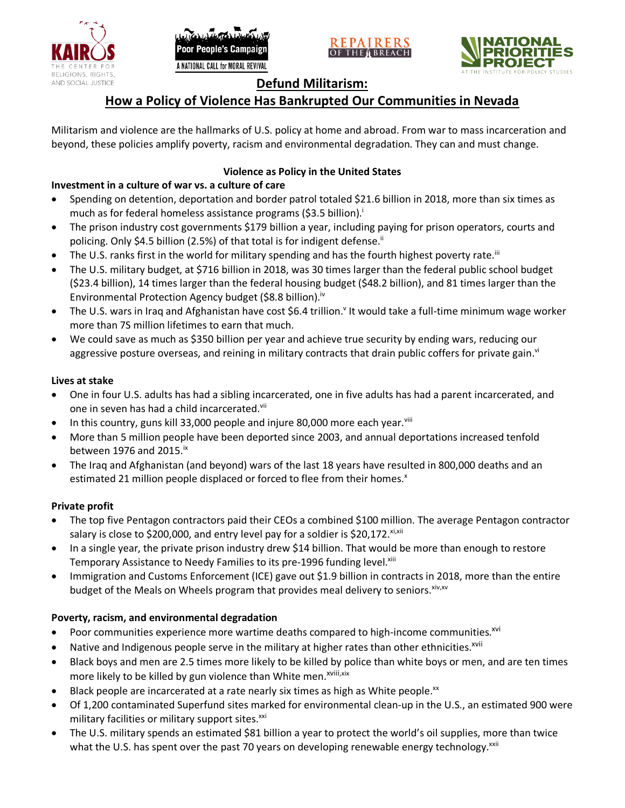





## **Defund Militarism:**

# **How a Policy of Violence Has Bankrupted Our Communities in Nevada**

Militarism and violence are the hallmarks of U.S. policy at home and abroad. From war to mass incarceration and beyond, these policies amplify poverty, racism and environmental degradation. They can and must change.

## **Violence as Policy in the United States**

## **Investment in a culture of war vs. a culture of care**

- Spending on detention, deportation and border patrol totaled \$21.6 billion in 2018, more than six times as much as for federal homeless assistance programs (\$3.5 billion).<sup>i</sup>
- The prison industry cost governments \$179 billion a year, including paying for prison operators, courts and policing. Only \$4.5 billion (2.5%) of that total is for indigent defense.<sup>ii</sup>
- The U.S. ranks first in the world for military spending and has the fourth highest poverty rate.<sup>iii</sup>
- The U.S. military budget, at \$716 billion in 2018, was 30 times larger than the federal public school budget (\$23.4 billion), 14 times larger than the federal housing budget (\$48.2 billion), and 81 times larger than the Environmental Protection Agency budget (\$8.8 billion).<sup>iv</sup>
- The U.S. wars in Iraq and Afghanistan have cost \$6.4 trillion.<sup>v</sup> It would take a full-time minimum wage worker more than 7S million lifetimes to earn that much.
- We could save as much as \$350 billion per year and achieve true security by ending wars, reducing our aggressive posture overseas, and reining in military contracts that drain public coffers for private gain.<sup>vi</sup>

### **Lives at stake**

- One in four U.S. adults has had a sibling incarcerated, one in five adults has had a parent incarcerated, and one in seven has had a child incarcerated.vii
- In this country, guns kill 33,000 people and injure 80,000 more each year. $v_{\text{lin}}$
- More than 5 million people have been deported since 2003, and annual deportations increased tenfold between 1976 and 2015. $\mathrm{i}$ <sup>x</sup>
- The Iraq and Afghanistan (and beyond) wars of the last 18 years have resulted in 800,000 deaths and an estimated 21 million people displaced or forced to flee from their homes.<sup>x</sup>

### **Private profit**

- The top five Pentagon contractors paid their CEOs a combined \$100 million. The average Pentagon contractor salary is close to \$200,000, and entry level pay for a soldier is \$20,172. xi,xii
- In a single year, the private prison industry drew \$14 billion. That would be more than enough to restore Temporary Assistance to Needy Families to its pre-1996 funding level.<sup>xiii</sup>
- Immigration and Customs Enforcement (ICE) gave out \$1.9 billion in contracts in 2018, more than the entire budget of the Meals on Wheels program that provides meal delivery to seniors. Xiv, XV

## **Poverty, racism, and environmental degradation**

- Poor communities experience more wartime deaths compared to high-income communities.<sup>xvi</sup>
- Native and Indigenous people serve in the military at higher rates than other ethnicities.<sup>xvii</sup>
- Black boys and men are 2.5 times more likely to be killed by police than white boys or men, and are ten times more likely to be killed by gun violence than White men.<sup>xviii,xix</sup>
- Black people are incarcerated at a rate nearly six times as high as White people.<sup>xx</sup>
- Of 1,200 contaminated Superfund sites marked for environmental clean-up in the U.S., an estimated 900 were military facilities or military support sites.<sup>xxi</sup>
- The U.S. military spends an estimated \$81 billion a year to protect the world's oil supplies, more than twice what the U.S. has spent over the past 70 years on developing renewable energy technology.<sup>xxii</sup>